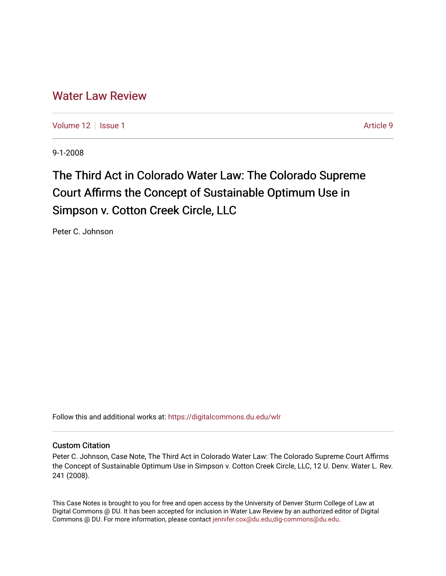# [Water Law Review](https://digitalcommons.du.edu/wlr)

[Volume 12](https://digitalcommons.du.edu/wlr/vol12) | [Issue 1](https://digitalcommons.du.edu/wlr/vol12/iss1) Article 9

9-1-2008

# The Third Act in Colorado Water Law: The Colorado Supreme Court Affirms the Concept of Sustainable Optimum Use in Simpson v. Cotton Creek Circle, LLC

Peter C. Johnson

Follow this and additional works at: [https://digitalcommons.du.edu/wlr](https://digitalcommons.du.edu/wlr?utm_source=digitalcommons.du.edu%2Fwlr%2Fvol12%2Fiss1%2F9&utm_medium=PDF&utm_campaign=PDFCoverPages) 

# Custom Citation

Peter C. Johnson, Case Note, The Third Act in Colorado Water Law: The Colorado Supreme Court Affirms the Concept of Sustainable Optimum Use in Simpson v. Cotton Creek Circle, LLC, 12 U. Denv. Water L. Rev. 241 (2008).

This Case Notes is brought to you for free and open access by the University of Denver Sturm College of Law at Digital Commons @ DU. It has been accepted for inclusion in Water Law Review by an authorized editor of Digital Commons @ DU. For more information, please contact [jennifer.cox@du.edu,dig-commons@du.edu.](mailto:jennifer.cox@du.edu,dig-commons@du.edu)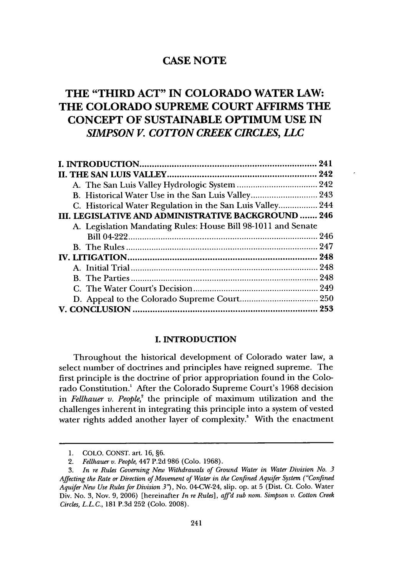# **THE "THIRD ACT" IN COLORADO WATER LAW: THE COLORADO SUPREME COURT AFFIRMS THE CONCEPT OF SUSTAINABLE OPTIMUM USE IN** *SIMPSON V. COTTON CREEK CIRCLES, LLC*

| C. Historical Water Regulation in the San Luis Valley 244     |  |
|---------------------------------------------------------------|--|
| III. LEGISLATIVE AND ADMINISTRATIVE BACKGROUND  246           |  |
| A. Legislation Mandating Rules: House Bill 98-1011 and Senate |  |
|                                                               |  |
|                                                               |  |
|                                                               |  |
|                                                               |  |
|                                                               |  |
|                                                               |  |
|                                                               |  |
|                                                               |  |

# **I.** INTRODUCTION

Throughout the historical development of Colorado water law, a select number of doctrines and principles have reigned supreme. The first principle is the doctrine of prior appropriation found in the Colorado Constitution.' After the Colorado Supreme Court's 1968 decision in *Fellhauer v. People,'* the principle of maximum utilization and the challenges inherent in integrating this principle into a system of vested water rights added another layer of complexity.<sup>3</sup> With the enactment

<sup>1.</sup> COLO. CONST. art. 16, §6.

<sup>2.</sup> *Fellhauer v. People,* 447 P.2d 986 (Colo. 1968).

<sup>3.</sup> *In re Rules Governing New Withdrawals of Ground Water in Water Division No. 3 Affecting the Rate or Direction of Movement of Water in the Confined Aquifer System ("Confined Aquifer New Use Rulesfor Division 3* ), No. 04-CW-24, slip. op. at 5 (Dist. Ct. Colo. Water Div. No. 3, Nov. 9, 2006) [hereinafter *In re Rules], affd sub nom. Simpson v. Cotton Creek Circles, L.L.C.,* 181 P.3d 252 (Colo. 2008).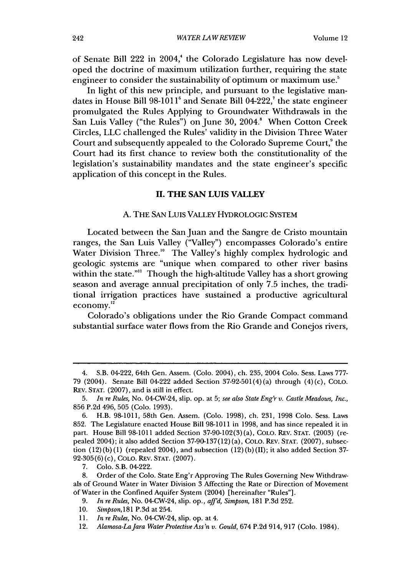of Senate Bill 222 in 2004,' the Colorado Legislature has now developed the doctrine of maximum utilization further, requiring the state engineer to consider the sustainability of optimum or maximum use.<sup>5</sup>

In light of this new principle, and pursuant to the legislative mandates in House Bill 98-1011' and Senate Bill 04-222,' the state engineer promulgated the Rules Applying to Groundwater Withdrawals in the San Luis Valley ("the Rules") on June 30, 2004.<sup>8</sup> When Cotton Creek Circles, LLC challenged the Rules' validity in the Division Three Water Court and subsequently appealed to the Colorado Supreme Court,<sup>9</sup> the Court had its first chance to review both the constitutionality of the legislation's sustainability mandates and the state engineer's specific application of this concept in the Rules.

### **II.** THE **SAN LUIS** VALLEY

#### A. THE SAN LUIS VALLEY HYDROLOGIC SYSTEM

Located between the San Juan and the Sangre de Cristo mountain ranges, the San Luis Valley ("Valley") encompasses Colorado's entire Water Division Three.'" The Valley's highly complex hydrologic and geologic systems are "unique when compared to other river basins within the state."" Though the high-altitude Valley has a short growing season and average annual precipitation of only 7.5 inches, the traditional irrigation practices have sustained a productive agricultural economy. $12$ 

Colorado's obligations under the Rio Grande Compact command substantial surface water flows from the Rio Grande and Conejos rivers,

7. Colo. S.B. 04-222.

<sup>4.</sup> S.B. 04-222, 64th Gen. Assem. (Colo. 2004), ch. 235, 2004 Colo. Sess. Laws 777- 79 (2004). Senate Bill 04-222 added Section 37-92-501(4) (a) through (4) (c), COLO. REv. STAT. (2007), and is still in effect.

<sup>5.</sup> *In re Rules,* No. 04-CW-24, slip. op. at 5; *see also State Eng'r v. Castle Meadows, Inc.,* 856 P.2d 496, 505 (Colo. 1993).

<sup>6.</sup> H.B. 98-1011, 58th Gen. Assem. (Colo. 1998), ch. 231, 1998 Colo. Sess. Laws 852. The Legislature enacted House Bill 98-1011 in 1998, and has since repealed it in part. House Bill 98-1011 added Section 37-90-102(3) (a), CoLo. REV. STAT. (2003) (repealed 2004); it also added Section 37-90-137(12) (a), CoLo. REV. STAT. (2007), subsection  $(12)(b)(1)$  (repealed 2004), and subsection  $(12)(b)(II)$ ; it also added Section 37-92-305(6) (c), COLO. REv. STAT. (2007).

<sup>8.</sup> Order of the Colo. State Eng'r Approving The Rules Governing New Withdrawals of Ground Water in Water Division 3 Affecting the Rate or Direction of Movement of Water in the Confined Aquifer System (2004) [hereinafter "Rules"].

<sup>9.</sup> *In re Rules,* No. 04-CW-24, slip. op., *affd, Simpson,* 181 P.3d 252.

<sup>10.</sup> *Simpson,181* P.3d at 254.

<sup>11.</sup> *In re Rules,* No. 04-CW-24, slip. op. at 4.

<sup>12.</sup> *Alamosa-LaJara Water Protective Ass'n v. Gould,* 674 P.2d 914, 917 (Colo. 1984).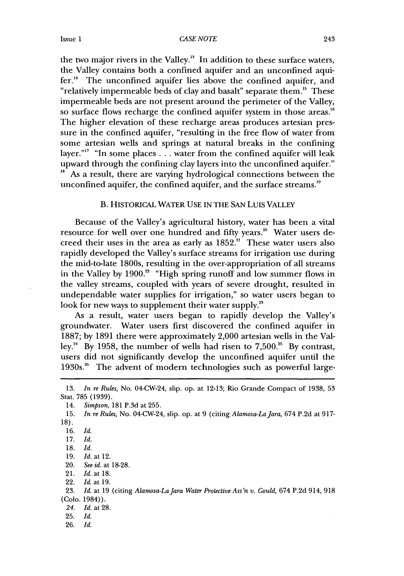the two major rivers in the Valley." In addition to these surface waters, the Valley contains both a confined aquifer and an unconfined aquifer.<sup>14</sup> The unconfined aquifer lies above the confined aquifer, and "relatively impermeable beds of clay and basalt" separate them.'" These impermeable beds are not present around the perimeter of the Valley, so surface flows recharge the confined aquifer system in those areas.<sup>16</sup> The higher elevation of these recharge areas produces artesian pressure in the confined aquifer, "resulting in the free flow of water from some artesian wells and springs at natural breaks in the confining layer."'7 "In some places **...** water from the confined aquifer will leak upward through the confining clay layers into the unconfined aquifer." <sup>18</sup> As a result, there are varying hydrological connections between the unconfined aquifer, the confined aquifer, and the surface streams.<sup>19</sup>

### B. HISTORICAL WATER USE IN THE SAN LuIs VALLEY

Because of the Valley's agricultural history, water has been a vital resource for well over one hundred and fifty years." Water users decreed their uses in the area as early as  $1852<sup>21</sup>$  These water users also rapidly developed the Valley's surface streams for irrigation use during the mid-to-late 1800s, resulting in the over-appropriation of all streams in the Valley by 1900.<sup>22</sup> "High spring runoff and low summer flows in the valley streams, coupled with years of severe drought, resulted in undependable water supplies for irrigation," so water users began to look for new ways to supplement their water supply.<sup>23</sup>

As a result, water users began to rapidly develop the Valley's groundwater. Water users first discovered the confined aquifer in 1887; by 1891 there were approximately 2,000 artesian wells in the Valley.<sup>2</sup> ' By 1958, the number of wells had risen to 7,500." By contrast, users did not significantly develop the unconfined aquifer until the 1930s.<sup>26</sup> The advent of modern technologies such as powerful large-

- *24. Id. at* 28.
- 25. *Id.*
- 26. *Id.*

<sup>13.</sup> *In re Rules,* No. 04-CW-24, slip. op. at 12-13; Rio Grande Compact of 1938, 53 Stat. 785 (1939).

<sup>14.</sup> *Simpson,* 181 P.3d at 255.

<sup>15.</sup> *In re Rules,* No. 04-CW-24, slip. op. at 9 (citing *Alamosa-LaJara,* 674 P.2d at 917-

<sup>18).</sup>

<sup>16.</sup> *Id.*

<sup>17.</sup> *Id.*

<sup>18.</sup> *Id.*

<sup>19.</sup> *Id.* at 12.

<sup>20.</sup> *See id.* at 18-28.

<sup>21.</sup> *Id.* at **18.**

<sup>22.</sup> *Id. at* 19.

<sup>23.</sup> *Id.* at 19 (citing *Alamosa-La Jara Water Protective Ass'n v. Gould,* 674 P.2d 914, 918 (Colo. 1984)).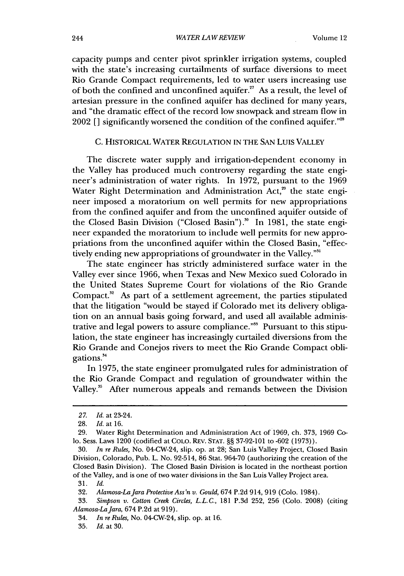capacity pumps and center pivot sprinkler irrigation systems, coupled with the state's increasing curtailments of surface diversions to meet Rio Grande Compact requirements, led to water users increasing use of both the confined and unconfined aquifer.<sup>27</sup> As a result, the level of artesian pressure in the confined aquifer has declined for many years, and "the dramatic effect of the record low snowpack and stream flow in 2002 [] significantly worsened the condition of the confined aquifer."<sup>28</sup>

# C. HISTORICAL WATER REGULATION IN THE SAN LuIS VALLEY

The discrete water supply and irrigation-dependent economy in the Valley has produced much controversy regarding the state engineer's administration of water rights. In 1972, pursuant to the 1969 Water Right Determination and Administration Act,<sup>29</sup> the state engineer imposed a moratorium on well permits for new appropriations from the confined aquifer and from the unconfined aquifer outside of the Closed Basin Division ("Closed Basin").<sup>30</sup> In 1981, the state engineer expanded the moratorium to include well permits for new appropriations from the unconfined aquifer within the Closed Basin, "effectively ending new appropriations of groundwater in the Valley."<sup>31</sup>

The state engineer has strictly administered surface water in the Valley ever since 1966, when Texas and New Mexico sued Colorado in the United States Supreme Court for violations of the Rio Grande Compact.<sup>32</sup> As part of a settlement agreement, the parties stipulated that the litigation "would be stayed if Colorado met its delivery obligation on an annual basis going forward, and used all available administrative and legal powers to assure compliance."" Pursuant to this stipulation, the state engineer has increasingly curtailed diversions from the Rio Grande and Conejos rivers to meet the Rio Grande Compact obligations.<sup>34</sup>

In 1975, the state engineer promulgated rules for administration of the Rio Grande Compact and regulation of groundwater within the Valley.<sup>35</sup> After numerous appeals and remands between the Division

*<sup>27.</sup> Id.* at 23-24.

<sup>28.</sup> *Id.* at 16.

<sup>29.</sup> Water Right Determination and Administration Act of 1969, ch. 373, 1969 Colo. Sess. Laws 1200 (codified at COLO. REv. STAT. §§ 37-92-101 to -602 (1973)).

<sup>30.</sup> *In re Rules,* No. 04-CW-24, slip. op. at 28; San Luis Valley Project, Closed Basin Division, Colorado, Pub. L. No. 92-514, 86 Stat. 964-70 (authorizing the creation of the Closed Basin Division). The Closed Basin Division is located in the northeast portion of the Valley, and is one of two water divisions in the San Luis Valley Project area.

<sup>31.</sup> *Id.*

<sup>32.</sup> *Alamosa-LaJara Protective Ass'n v. Gould,* 674 P.2d 914, 919 (Colo. 1984).

<sup>33.</sup> *Simpson v. Cotton Creek Circles, L.L.C.,* 181 P.3d 252, 256 (Colo. 2008) (citing *Alamosa-LaJara,* 674 P.2d at 919).

<sup>34.</sup> *In re Rules*, No. 04-CW-24, slip. op. at 16.

<sup>35.</sup> *Id.* at 30.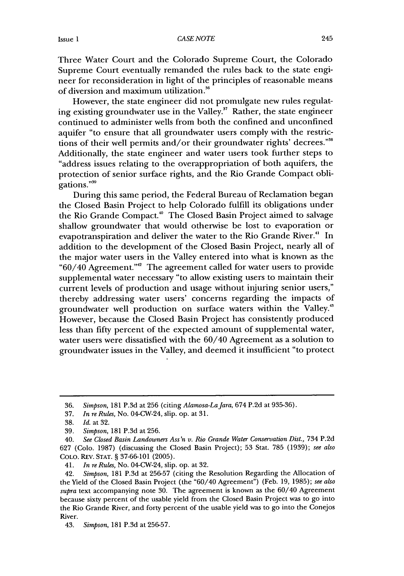Three Water Court and the Colorado Supreme Court, the Colorado Supreme Court eventually remanded the rules back to the state engineer for reconsideration in light of the principles of reasonable means of diversion and maximum utilization.<sup>36</sup>

However, the state engineer did not promulgate new rules regulating existing groundwater use in the Valley.<sup>37</sup> Rather, the state engineer continued to administer wells from both the confined and unconfined aquifer "to ensure that all groundwater users comply with the restrictions of their well permits and/or their groundwater rights' decrees."<sup>38</sup> Additionally, the state engineer and water users took further steps to "address issues relating to the overappropriation of both aquifers, the protection of senior surface rights, and the Rio Grande Compact obligations."<sup>39</sup>

During this same period, the Federal Bureau of Reclamation began the Closed Basin Project to help Colorado fulfill its obligations under the Rio Grande Compact." The Closed Basin Project aimed to salvage shallow groundwater that would otherwise be lost to evaporation or evapotranspiration and deliver the water to the Rio Grande River.<sup>41</sup> In addition to the development of the Closed Basin Project, nearly all of the major water users in the Valley entered into what is known as the "60/40 Agreement."4 The agreement called for water users to provide supplemental water necessary "to allow existing users to maintain their current levels of production and usage without injuring senior users," thereby addressing water users' concerns regarding the impacts of groundwater well production on surface waters within the Valley." However, because the Closed Basin Project has consistently produced less than fifty percent of the expected amount of supplemental water, water users were dissatisfied with the 60/40 Agreement as a solution to groundwater issues in the Valley, and deemed it insufficient "to protect

<sup>36.</sup> *Simpson,* 181 P.3d at 256 (citing *Alamosa-LaJara,* 674 P.2d at 935-36).

<sup>37.</sup> *In re Rules,* No. 04-CW-24, slip. op. at 31.

<sup>38.</sup> *Id.* at 32.

<sup>39.</sup> *Simpson,* 181 P.3d at 256.

<sup>40.</sup> *See Closed Basin Landowners Ass'n v. Rio Grande Water Conservation Dist.,* 734 P.2d 627 (Colo. 1987) (discussing the Closed Basin Project); 53 Stat. 785 (1939); *see also* COLO. REV. STAT. § 37-66-101 (2005).

<sup>41.</sup> *In re Rules,* No. 04-CW-24, slip. op. at 32.

<sup>42.</sup> *Simpson,* 181 P.3d at 256-57 (citing the Resolution Regarding the Allocation of the Yield of the Closed Basin Project (the "60/40 Agreement") (Feb. 19, 1985); *see also supra* text accompanying note 30. The agreement is known as the 60/40 Agreement because sixty percent of the usable yield from the Closed Basin Project was to go into the Rio Grande River, and forty percent of the usable yield was to go into the Conejos River.

<sup>43.</sup> *Simpson,* 181 P.3d at 256-57.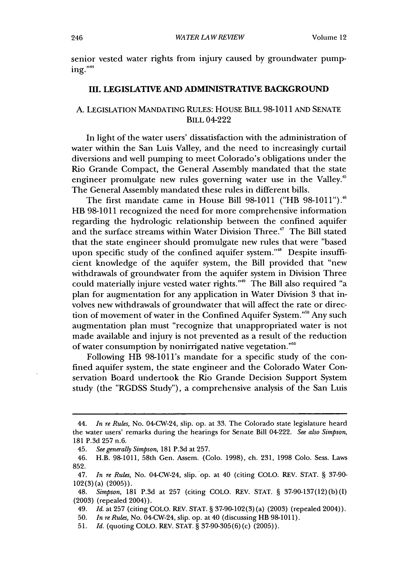senior vested water rights from injury caused by groundwater pump $ine.$ <sup> $44$ </sup>

# **Ill. LEGISLATIVE AND ADMINISTRATIVE BACKGROUND**

# **A. LEGISLATION MANDATING RULES: HOUSE** BILL **98-1011 AND SENATE** BILL 04-222

In light of the water users' dissatisfaction with the administration of water within the San Luis Valley, and the need to increasingly curtail diversions and well pumping to meet Colorado's obligations under the Rio Grande Compact, the General Assembly mandated that the state engineer promulgate new rules governing water use in the Valley.<sup>45</sup> The General Assembly mandated these rules in different bills.

The first mandate came in House Bill **98-1011** ("HB 98-1011").46 HB **98-1011** recognized the need for more comprehensive information regarding the hydrologic relationship between the confined aquifer and the surface streams within Water Division Three.<sup>47</sup> The Bill stated that the state engineer should promulgate new rules that were "based upon specific study of the confined aquifer system."<sup>48</sup> Despite insufficient knowledge of the aquifer system, the Bill provided that "new withdrawals of groundwater from the aquifer system in Division Three could materially injure vested water rights."<sup>49</sup> The Bill also required "a plan for augmentation for any application in Water Division 3 that involves new withdrawals of groundwater that will affect the rate or direction of movement of water in the Confined Aquifer System."<sup>50</sup> Any such augmentation plan must "recognize that unappropriated water is not made available and injury is not prevented as a result of the reduction of water consumption by nonirrigated native vegetation.""

Following HB 98-1011's mandate for a specific study of the confined aquifer system, the state engineer and the Colorado Water Conservation Board undertook the Rio Grande Decision Support System study (the "RGDSS Study"), a comprehensive analysis of the San Luis

<sup>44.</sup> *In re Rules,* No. 04-CW-24, slip. op. at 33. The Colorado state legislature heard the water users' remarks during the hearings for Senate Bill 04-222. *See also Simpson,* **181** P.3d 257 n.6.

<sup>45.</sup> *See generally Simpson,* 181 P.3d at 257.

<sup>46.</sup> H.B. **98-1011,** 58th Gen. Assem. (Colo. 1998), ch. 231, 1998 Colo. Sess. Laws 852.

<sup>47.</sup> *In re Rules, No. 04-CW-24, slip. op. at 40 (citing COLO. REV. STAT. § 37-90-*102(3) (a) (2005)).

<sup>48.</sup> *Simpson,* 181 P.3d at 257 (citing COLO. REV. STAT. § 37-90-137(12)(b)(I) (2003) (repealed 2004)).

<sup>49.</sup> *Id.* at 257 (citing COLO. REV. STAT. **§** 37-90-102(3) (a) (2003) (repealed 2004)).

<sup>50.</sup> *In re Rules, No.* 04-CW-24, slip. op. at 40 (discussing HB 98-1011).

<sup>51.</sup> *Id.* (quoting COLO. REV. STAT. § 37-90-305(6) (c) (2005)).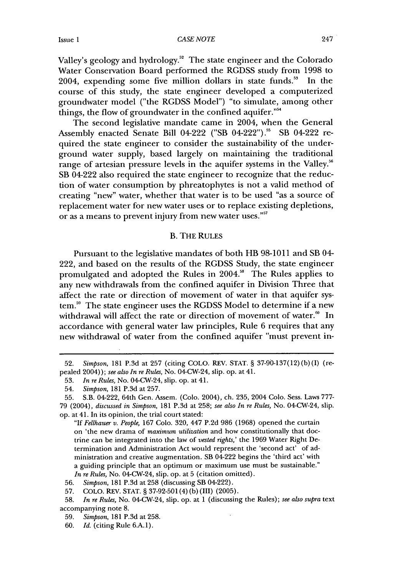Valley's geology and hydrology.<sup>52</sup> The state engineer and the Colorado Water Conservation Board performed the RGDSS study from 1998 to 2004, expending some five million dollars in state funds." In the course of this study, the state engineer developed a computerized groundwater model ("the RGDSS Model") "to simulate, among other things, the flow of groundwater in the confined aquifer."<sup>54</sup>

The second legislative mandate came in 2004, when the General Assembly enacted Senate Bill 04-222 ("SB 04-222")." SB 04-222 required the state engineer to consider the sustainability of the underground water supply, based largely on maintaining the traditional range of artesian pressure levels in the aquifer systems in the Valley.<sup>56</sup> SB 04-222 also required the state engineer to recognize that the reduction of water consumption by phreatophytes is not a valid method of creating "new" water, whether that water is to be used "as a source of replacement water for new water uses or to replace existing depletions, or as a means to prevent injury from new water uses.""

#### B. THE RULES

Pursuant to the legislative mandates of both HB 98-1011 and SB 04- 222, and based on the results of the RGDSS Study, the state engineer promulgated and adopted the Rules in 2004.<sup>58</sup> The Rules applies to any new withdrawals from the confined aquifer in Division Three that affect the rate or direction of movement of water in that aquifer system.<sup>59</sup> The state engineer uses the RGDSS Model to determine if a new withdrawal will affect the rate or direction of movement of water.<sup>60</sup> In accordance with general water law principles, Rule 6 requires that any new withdrawal of water from the confined aquifer "must prevent in-

<sup>52.</sup> *Simpson,* 181 P.3d at 257 (citing COLO. REV. STAT. § 37-90-137(12) (b) (I) (repealed 2004)); *see also In re Rules,* No. 04-CW-24, slip. op. at 41.

<sup>53.</sup> *In re Rules,* No. 04-CW-24, slip. op. at 41.

<sup>54.</sup> *Simpson,* 181 P.3d at 257.

<sup>55.</sup> S.B. 04-222, 64th Gen. Assem. (Colo. 2004), ch. 235, 2004 Colo. Sess. Laws 777- 79 (2004), *discussed in Simpson*, 181 P.3d at 258; *see also In re Rules*, No. 04-CW-24, slip. op. at 41. In its opinion, the trial court stated:

*<sup>&</sup>quot;If Fellhauer v. People,* 167 Colo. 320, 447 P.2d 986 (1968) opened the curtain on 'the new drama of *maximum utilization* and how constitutionally that doctrine can be integrated into the law of *vested rights,'* the 1969 Water Right Determination and Administration Act would represent the 'second act' of administration and creative augmentation. SB 04-222 begins the 'third act' with a guiding principle that an optimum or maximum use must be sustainable." *In re Rules,* No. 04-CW-24, slip. op. at 5 (citation omitted).

<sup>56.</sup> *Simpson,* 181 P.3d at 258 (discussing SB 04-222).

<sup>57.</sup> COLO. REV. STAT. § 37-92-501(4) (b) (III) (2005).

<sup>58.</sup> *In re Rules,* No. 04-CW-24, slip. op. at 1 (discussing the Rules); *see also supra* text accompanying note 8.

<sup>59.</sup> *Simpson,* 181 P.3d at 258.

<sup>60.</sup> *Id.* (citing Rule 6.A.1).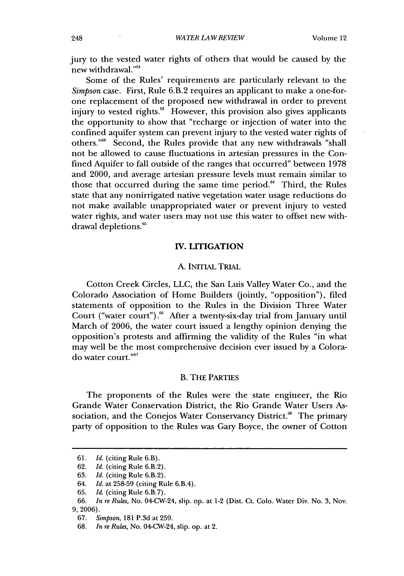jury to the vested water rights of others that would be caused by the new withdrawal."<sup>61</sup>

Some of the Rules' requirements are particularly relevant to the *Simpson* case. First, Rule 6.B.2 requires an applicant to make a one-forone replacement of the proposed new withdrawal in order to prevent injury to vested rights.<sup>62</sup> However, this provision also gives applicants the opportunity to show that "recharge or injection of water into the confined aquifer system can prevent injury to the vested water rights of others."<sup>33</sup> Second, the Rules provide that any new withdrawals "shall not be allowed to cause fluctuations in artesian pressures in the Confined Aquifer to fall outside of the ranges that occurred" between 1978 and 2000, and average artesian pressure levels must remain similar to those that occurred during the same time period.<sup>64</sup> Third, the Rules state that any nonirrigated native vegetation water usage reductions do not make available unappropriated water or prevent injury to vested water rights, and water users may not use this water to offset new withdrawal depletions.<sup>65</sup>

#### **IV. LITIGATION**

#### A. INITIAL TRIAL

Cotton Creek Circles, LLC, the San Luis Valley Water Co., and the Colorado Association of Home Builders (jointly, "opposition"), filed statements of opposition to the Rules in the Division Three Water Court ("water court").<sup>66</sup> After a twenty-six-day trial from January until March of 2006, the water court issued a lengthy opinion denying the opposition's protests and affirming the validity of the Rules "in what may well be the most comprehensive decision ever issued by a Colorado water court."<sup>67</sup>

#### B. THE PARTIES

The proponents of the Rules were the state engineer, the Rio Grande Water Conservation District, the Rio Grande Water Users Association, and the Conejos Water Conservancy District.<sup>68</sup> The primary party of opposition to the Rules was Gary Boyce, the owner of Cotton

<sup>61.</sup> *Id.* (citing Rule 6.B).

<sup>62.</sup> *Id.* (citing Rule 6.B.2).

<sup>63.</sup> *Id.* (citing Rule 6.B.2).

<sup>64.</sup> *Id.* at 258-59 (citing Rule 6.B.4).

<sup>65.</sup> *Id.* (citing Rule 6.B.7).

<sup>66.</sup> *In re Rules,* No. 04-CW-24, slip. op. at 1-2 (Dist. Ct. Colo. Water Div. No. 3, Nov. 9, 2006).

<sup>67.</sup> *Simpson,* 181 P.3d at 259.

<sup>68.</sup> *In re Rules,* No. 04-CW-24, slip. op. at 2.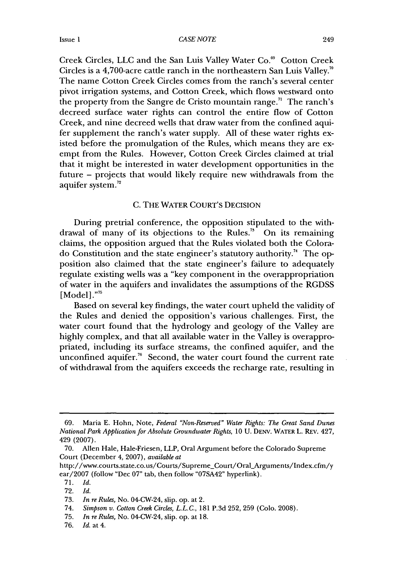Creek Circles, LLC and the San Luis Valley Water Co.<sup>89</sup> Cotton Creek Circles is a 4,700-acre cattle ranch in the northeastern San Luis Valley. The name Cotton Creek Circles comes from the ranch's several center pivot irrigation systems, and Cotton Creek, which flows westward onto the property from the Sangre de Cristo mountain range.<sup> $n$ </sup> The ranch's decreed surface water rights can control the entire flow of Cotton Creek, and nine decreed wells that draw water from the confined aquifer supplement the ranch's water supply. **All** of these water rights existed before the promulgation of the Rules, which means they are exempt from the Rules. However, Cotton Creek Circles claimed at trial that it might be interested in water development opportunities in the future - projects that would likely require new withdrawals from the aquifer system. $72$ 

# C. THE WATER COURT'S DECISION

During pretrial conference, the opposition stipulated to the withdrawal of many of its objections to the Rules.<sup>73</sup> On its remaining claims, the opposition argued that the Rules violated both the Colorado Constitution and the state engineer's statutory authority.74 The opposition also claimed that the state engineer's failure to adequately regulate existing wells was a "key component in the overappropriation of water in the aquifers and invalidates the assumptions of the RGDSS [Model]."<sup>75</sup>

Based on several key findings, the water court upheld the validity of the Rules and denied the opposition's various challenges. First, the water court found that the hydrology and geology of the Valley are highly complex, and that all available water in the Valley is overappropriated, including its surface streams, the confined aquifer, and the unconfined aquifer.<sup>76</sup> Second, the water court found the current rate of withdrawal from the aquifers exceeds the recharge rate, resulting in

74. *Simpson v. Cotton Creek Circles, L.L.C.,* 181 P.3d 252, 259 (Colo. 2008).

76. *Id.* at 4.

<sup>69.</sup> Maria E. Hohn, Note, *Federal "Non-Reserved" Water Rights: The Great Sand Dunes National Park Application for Absolute Groundwater Rights,* 10 U. **DENV.** WATER L. REv. 427, 429 (2007).

<sup>70.</sup> Allen Hale, Hale-Friesen, LLP, Oral Argument before the Colorado Supreme Court (December 4, 2007), *available at*

http://www.courts.state.co.us/Courts/Supreme\_Court/Oral\_Arguments/Index.cfm/y ear/2007 (follow "Dec 07" tab, then follow "07SA42" hyperlink).

<sup>71.</sup> *Id.*

<sup>72.</sup> *Id.*

<sup>73.</sup> *In re Rules,* No. 04-CW-24, slip. op. at 2.

<sup>75.</sup> *In re Rules,* No. 04-CW-24, slip. op. at 18.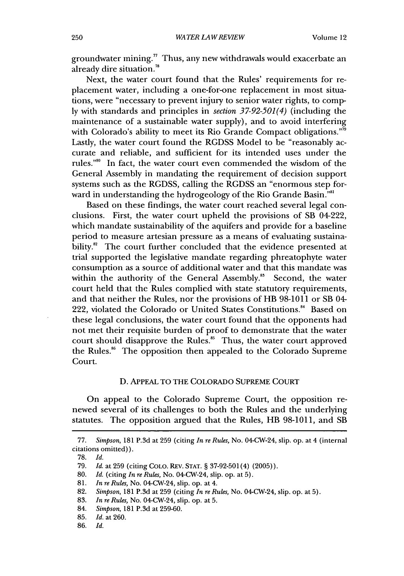groundwater mining." Thus, any new withdrawals would exacerbate an already dire situation.<sup>78</sup>

Next, the water court found that the Rules' requirements for replacement water, including a one-for-one replacement in most situations, were "necessary to prevent injury to senior water rights, to comply with standards and principles in *section 37-92-501(4)* (including the maintenance of a sustainable water supply), and to avoid interfering with Colorado's ability to meet its Rio Grande Compact obligations."<sup>59</sup> Lastly, the water court found the RGDSS Model to be "reasonably accurate and reliable, and sufficient for its intended uses under the rules."8 In fact, the water court even commended the wisdom of the General Assembly in mandating the requirement of decision support systems such as the RGDSS, calling the RGDSS an "enormous step forward in understanding the hydrogeology of the Rio Grande Basin."<sup>81</sup>

Based on these findings, the water court reached several legal conclusions. First, the water court upheld the provisions of SB 04-222, which mandate sustainability of the aquifers and provide for a baseline period to measure artesian pressure as a means of evaluating sustainability. ${}^{82}$  The court further concluded that the evidence presented at trial supported the legislative mandate regarding phreatophyte water consumption as a source of additional water and that this mandate was within the authority of the General Assembly.<sup>83</sup> Second, the water court held that the Rules complied with state statutory requirements, and that neither the Rules, nor the provisions of HB 98-1011 or SB 04- 222, violated the Colorado or United States Constitutions." Based on these legal conclusions, the water court found that the opponents had not met their requisite burden of proof to demonstrate that the water court should disapprove the Rules.<sup>85</sup> Thus, the water court approved the Rules.<sup>86</sup> The opposition then appealed to the Colorado Supreme Court.

#### D. APPEAL TO THE COLORADO SUPREME COURT

On appeal to the Colorado Supreme Court, the opposition renewed several of its challenges to both the Rules and the underlying statutes. The opposition argued that the Rules, HB 98-1011, and SB

<sup>77.</sup> *Simpson,* 181 P.3d at 259 (citing *In re Rules,* No. 04-CW-24, slip. op. at 4 (internal citations omitted)).

**<sup>78.</sup>** *Id.*

<sup>79.</sup> *Id.* at 259 (citing COLO. REv. **STAT.** § 37-92-501(4) (2005)).

<sup>80.</sup> *Id.* (citing *In re Rules,* No. 04-CW-24, slip. op. at 5).

<sup>81.</sup> *In re Rules,* No. 04-CW-24, slip. op. at 4.

<sup>82.</sup> *Simpson,* 181 P.3d at 259 (citing *In re Rules,* No. 04-CW-24, slip. op. at 5).

<sup>83.</sup> *In re Rules,* No. 04-CW-24, slip. op. at 5.

<sup>84.</sup> *Simpson,* 181 P.3d at 259-60.

<sup>85.</sup> *Id.* at 260.

<sup>86.</sup> *Id.*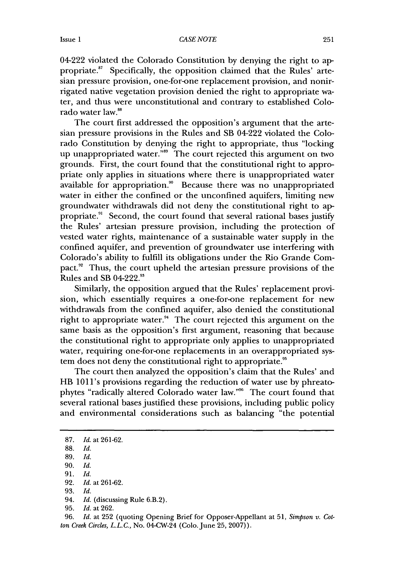04-222 violated the Colorado Constitution by denying the right to appropriate.<sup>87</sup> Specifically, the opposition claimed that the Rules' artesian pressure provision, one-for-one replacement provision, and nonirrigated native vegetation provision denied the right to appropriate water, and thus were unconstitutional and contrary to established Colorado water law.'

The court first addressed the opposition's argument that the artesian pressure provisions in the Rules and SB 04-222 violated the Colorado Constitution by denying the right to appropriate, thus "locking up unappropriated water."<sup>99</sup> The court rejected this argument on two grounds. First, the court found that the constitutional right to appropriate only applies in situations where there is unappropriated water available for appropriation." Because there was no unappropriated water in either the confined or the unconfined aquifers, limiting new groundwater withdrawals did not deny the constitutional right to appropriate.<sup>91</sup> Second, the court found that several rational bases justify the Rules' artesian pressure provision, including the protection of vested water rights, maintenance of a sustainable water supply in the confined aquifer, and prevention of groundwater use interfering with Colorado's ability to fulfill its obligations under the Rio Grande Compact.<sup>92</sup> Thus, the court upheld the artesian pressure provisions of the Rules and SB 04-222.<sup>93</sup>

Similarly, the opposition argued that the Rules' replacement provision, which essentially requires a one-for-one replacement for new withdrawals from the confined aquifer, also denied the constitutional right to appropriate water." The court rejected this argument on the same basis as the opposition's first argument, reasoning that because the constitutional right to appropriate only applies to unappropriated water, requiring one-for-one replacements in an overappropriated system does not deny the constitutional right to appropriate.<sup>95</sup>

The court then analyzed the opposition's claim that the Rules' and HB 1011's provisions regarding the reduction of water use by phreatophytes "radically altered Colorado water law."<sup>96</sup> The court found that several rational bases justified these provisions, including public policy and environmental considerations such as balancing "the potential

91. *Id.*

93. *Id.*

96. *Id.* at 252 (quoting Opening Brief for Opposer-Appellant at 51, *Simpson v. Cotton Creek Circles, L.L.C., No.* 04-CW-24 (Colo. June 25, 2007)).

<sup>87.</sup> *Id.* at 261-62.

<sup>88.</sup> *Id.*

<sup>89.</sup> *Id.*

<sup>90.</sup> *Id.*

<sup>92.</sup> *Id.* at 261-62.

<sup>94.</sup> *Id.* (discussing Rule 6.B.2).

<sup>95.</sup> *Id.* at 262.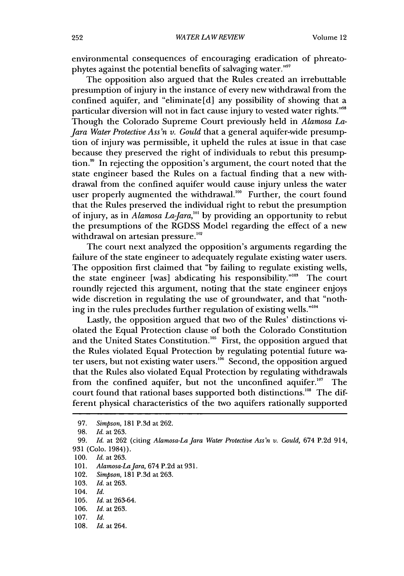environmental consequences of encouraging eradication of phreatophytes against the potential benefits of salvaging water.""

The opposition also argued that the Rules created an irrebuttable presumption of injury in the instance of every new withdrawal from the confined aquifer, and "eliminate[d] any possibility of showing that a particular diversion will not in fact cause injury to vested water rights."98 Though the Colorado Supreme Court previously held in *Alamosa La-Jara Water Protective Ass'n v. Gould* that a general aquifer-wide presumption of injury was permissible, it upheld the rules at issue in that case because they preserved the right of individuals to rebut this presumption.<sup>99</sup> In rejecting the opposition's argument, the court noted that the state engineer based the Rules on a factual finding that a new withdrawal from the confined aquifer would cause injury unless the water user properly augmented the withdrawal.<sup>100</sup> Further, the court found that the Rules preserved the individual right to rebut the presumption of injury, as in *Alamosa La-Jara*,<sup>101</sup> by providing an opportunity to rebut the presumptions of the RGDSS Model regarding the effect of a new withdrawal on artesian pressure.<sup>102</sup>

The court next analyzed the opposition's arguments regarding the failure of the state engineer to adequately regulate existing water users. The opposition first claimed that "by failing to regulate existing wells, the state engineer [was] abdicating his responsibility."'03 The court roundly rejected this argument, noting that the state engineer enjoys wide discretion in regulating the use of groundwater, and that "nothing in the rules precludes further regulation of existing wells."<sup>104</sup>

Lastly, the opposition argued that two of the Rules' distinctions violated the Equal Protection clause of both the Colorado Constitution and the United States Constitution.<sup>105</sup> First, the opposition argued that the Rules violated Equal Protection by regulating potential future water users, but not existing water users.<sup>166</sup> Second, the opposition argued that the Rules also violated Equal Protection by regulating withdrawals from the confined aquifer, but not the unconfined aquifer.<sup>107</sup> The court found that rational bases supported both distinctions.<sup>108</sup> The different physical characteristics of the two aquifers rationally supported

106. *Id. at* 263.

108. *Id.* at 264.

<sup>97.</sup> *Simpson,* 181 P.3d at 262.

<sup>98.</sup> Id. at 263.

<sup>99.</sup> *Id.* at 262 (citing *Alamosa-La Jara Water Protective Ass'n v. Gould,* 674 P.2d 914, 931 (Colo. 1984)).

<sup>100.</sup> *Id.* at 263.

<sup>101.</sup> *Alamosa-LaJara,* 674 P.2d at 931.

<sup>102.</sup> *Simpson,* 181 P.3d at 263.

<sup>103.</sup> Id. at 263.

<sup>104.</sup> *Id.*

<sup>105.</sup> *Id.* at 263-64.

<sup>107.</sup> *Id.*